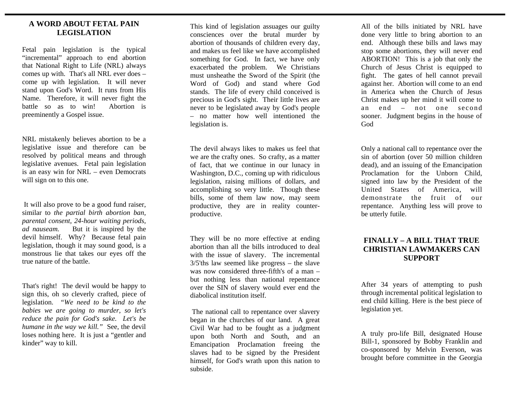## **A WORD ABOUT FETAL PAIN LEGISLATION**

Fetal pain legislation is the typical "incremental" approach to end abortion that National Right to Life (NRL) always comes up with. That's all NRL ever does – come up with legislation. It will never stand upon God's Word. It runs from His Name. Therefore, it will never fight the battle so as to win! Abortion is preeminently a Gospel issue.

NRL mistakenly believes abortion to be a legislative issue and therefore can be resolved by political means and through legislative avenues. Fetal pain legislation is an easy win for NRL – even Democrats will sign on to this one.

 It will also prove to be a good fund raiser, similar to *the partial birth abortion ban, parental consent, 24-hour waiting periods, ad nauseam.* But it is inspired by the devil himself. Why? Because fetal pain legislation, though it may sound good, is a monstrous lie that takes our eyes off the true nature of the battle.

That's right! The devil would be happy to sign this, oh so cleverly crafted, piece of legislation. *"We need to be kind to the babies we are going to murder, so let's reduce the pain for God's sake. Let's be humane in the way we kill."* See, the devil loses nothing here. It is just a "gentler and kinder" way to kill.

This kind of legislation assuages our guilty consciences over the brutal murder by abortion of thousands of children every day, and makes us feel like we have accomplished something for God. In fact, we have only exacerbated the problem. We Christians must unsheathe the Sword of the Spirit (the Word of God) and stand where God stands. The life of every child conceived is precious in God's sight. Their little lives are never to be legislated away by God's people – no matter how well intentioned the legislation is.

The devil always likes to makes us feel that we are the crafty ones. So crafty, as a matter of fact, that we continue in our lunacy in Washington, D.C., coming up with ridiculous legislation, raising millions of dollars, and accomplishing so very little. Though these bills, some of them law now, may seem productive, they are in reality counterproductive.

They will be no more effective at ending abortion than all the bills introduced to deal with the issue of slavery. The incremental 3/5'ths law seemed like progress – the slave was now considered three-fifth's of a man – but nothing less than national repentance over the SIN of slavery would ever end the diabolical institution itself.

 The national call to repentance over slavery began in the churches of our land. A great Civil War had to be fought as a judgment upon both North and South, and an Emancipation Proclamation freeing the slaves had to be signed by the President himself, for God's wrath upon this nation to subside.

All of the bills initiated by NRL have done very little to bring abortion to an end. Although these bills and laws may stop some abortions, they will never end ABORTION! This is a job that only the Church of Jesus Christ is equipped to fight. The gates of hell cannot prevail against her. Abortion will come to an end in America when the Church of Jesus Christ makes up her mind it will come to an end – not one second sooner. Judgment begins in the house of God

Only a national call to repentance over the sin of abortion (over 50 million children dead), and an issuing of the Emancipation Proclamation for the Unborn Child, signed into law by the President of the United States of America, will demonstrate the fruit of our repentance. Anything less will prove to be utterly futile.

## **FINALLY – A BILL THAT TRUE CHRISTIAN LAWMAKERS CAN SUPPORT**

After 34 years of attempting to push through incremental political legislation to end child killing. Here is the best piece of legislation yet.

A truly pro-life Bill, designated House Bill-1, sponsored by Bobby Franklin and co-sponsored by Melvin Everson, was brought before committee in the Georgia